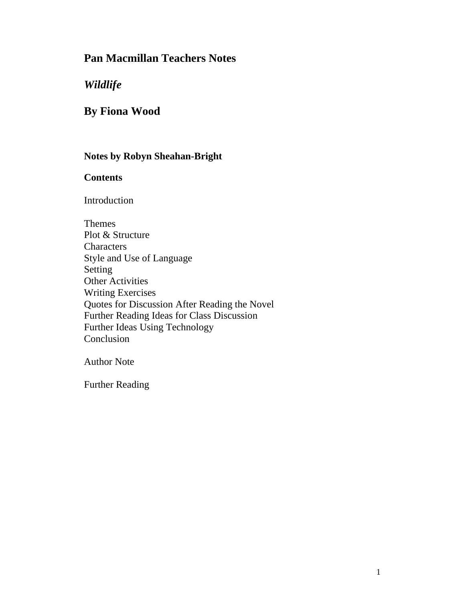# **Pan Macmillan Teachers Notes**

## *Wildlife*

# **By Fiona Wood**

### **Notes by Robyn Sheahan-Bright**

### **Contents**

Introduction

Themes Plot & Structure **Characters** Style and Use of Language Setting Other Activities Writing Exercises Quotes for Discussion After Reading the Novel Further Reading Ideas for Class Discussion Further Ideas Using Technology Conclusion

Author Note

Further Reading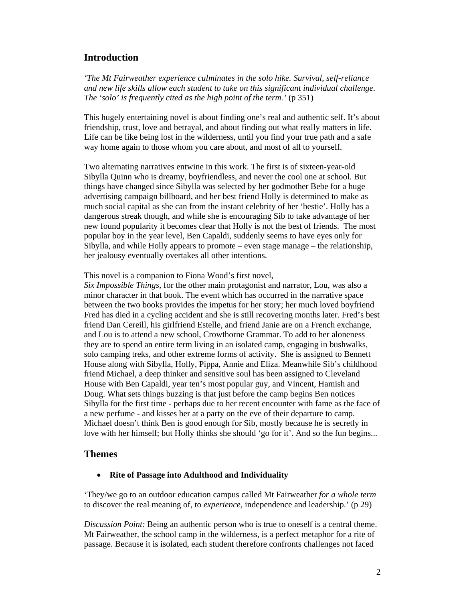### **Introduction**

*'The Mt Fairweather experience culminates in the solo hike. Survival, self-reliance and new life skills allow each student to take on this significant individual challenge. The 'solo' is frequently cited as the high point of the term.' (p 351)* 

This hugely entertaining novel is about finding one's real and authentic self. It's about friendship, trust, love and betrayal, and about finding out what really matters in life. Life can be like being lost in the wilderness, until you find your true path and a safe way home again to those whom you care about, and most of all to yourself.

Two alternating narratives entwine in this work. The first is of sixteen-year-old Sibylla Quinn who is dreamy, boyfriendless, and never the cool one at school. But things have changed since Sibylla was selected by her godmother Bebe for a huge advertising campaign billboard, and her best friend Holly is determined to make as much social capital as she can from the instant celebrity of her 'bestie'. Holly has a dangerous streak though, and while she is encouraging Sib to take advantage of her new found popularity it becomes clear that Holly is not the best of friends. The most popular boy in the year level, Ben Capaldi, suddenly seems to have eyes only for Sibylla, and while Holly appears to promote – even stage manage – the relationship, her jealousy eventually overtakes all other intentions.

This novel is a companion to Fiona Wood's first novel,

*Six Impossible Things,* for the other main protagonist and narrator, Lou, was also a minor character in that book. The event which has occurred in the narrative space between the two books provides the impetus for her story; her much loved boyfriend Fred has died in a cycling accident and she is still recovering months later. Fred's best friend Dan Cereill, his girlfriend Estelle, and friend Janie are on a French exchange, and Lou is to attend a new school, Crowthorne Grammar. To add to her aloneness they are to spend an entire term living in an isolated camp, engaging in bushwalks, solo camping treks, and other extreme forms of activity. She is assigned to Bennett House along with Sibylla, Holly, Pippa, Annie and Eliza. Meanwhile Sib's childhood friend Michael, a deep thinker and sensitive soul has been assigned to Cleveland House with Ben Capaldi, year ten's most popular guy, and Vincent, Hamish and Doug. What sets things buzzing is that just before the camp begins Ben notices Sibylla for the first time - perhaps due to her recent encounter with fame as the face of a new perfume - and kisses her at a party on the eve of their departure to camp. Michael doesn't think Ben is good enough for Sib, mostly because he is secretly in love with her himself; but Holly thinks she should 'go for it'. And so the fun begins...

#### **Themes**

#### **Rite of Passage into Adulthood and Individuality**

'They/we go to an outdoor education campus called Mt Fairweather *for a whole term* to discover the real meaning of, to *experience*, independence and leadership.' (p 29)

*Discussion Point:* Being an authentic person who is true to oneself is a central theme. Mt Fairweather, the school camp in the wilderness, is a perfect metaphor for a rite of passage. Because it is isolated, each student therefore confronts challenges not faced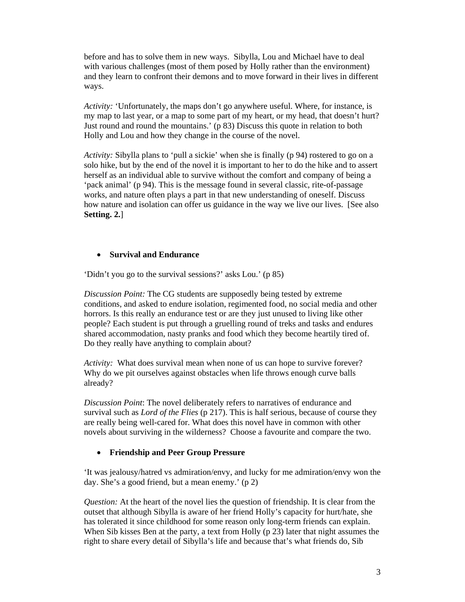before and has to solve them in new ways. Sibylla, Lou and Michael have to deal with various challenges (most of them posed by Holly rather than the environment) and they learn to confront their demons and to move forward in their lives in different ways.

*Activity:* 'Unfortunately, the maps don't go anywhere useful. Where, for instance, is my map to last year, or a map to some part of my heart, or my head, that doesn't hurt? Just round and round the mountains.' (p 83) Discuss this quote in relation to both Holly and Lou and how they change in the course of the novel.

*Activity:* Sibylla plans to 'pull a sickie' when she is finally (p 94) rostered to go on a solo hike, but by the end of the novel it is important to her to do the hike and to assert herself as an individual able to survive without the comfort and company of being a 'pack animal' (p 94). This is the message found in several classic, rite-of-passage works, and nature often plays a part in that new understanding of oneself. Discuss how nature and isolation can offer us guidance in the way we live our lives. [See also **Setting. 2.**]

#### **Survival and Endurance**

'Didn't you go to the survival sessions?' asks Lou.' (p 85)

*Discussion Point:* The CG students are supposedly being tested by extreme conditions, and asked to endure isolation, regimented food, no social media and other horrors. Is this really an endurance test or are they just unused to living like other people? Each student is put through a gruelling round of treks and tasks and endures shared accommodation, nasty pranks and food which they become heartily tired of. Do they really have anything to complain about?

*Activity:* What does survival mean when none of us can hope to survive forever? Why do we pit ourselves against obstacles when life throws enough curve balls already?

*Discussion Point*: The novel deliberately refers to narratives of endurance and survival such as *Lord of the Flies* (p 217). This is half serious, because of course they are really being well-cared for. What does this novel have in common with other novels about surviving in the wilderness? Choose a favourite and compare the two.

#### **Friendship and Peer Group Pressure**

'It was jealousy/hatred vs admiration/envy, and lucky for me admiration/envy won the day. She's a good friend, but a mean enemy.' (p 2)

*Question:* At the heart of the novel lies the question of friendship. It is clear from the outset that although Sibylla is aware of her friend Holly's capacity for hurt/hate, she has tolerated it since childhood for some reason only long-term friends can explain. When Sib kisses Ben at the party, a text from Holly (p 23) later that night assumes the right to share every detail of Sibylla's life and because that's what friends do, Sib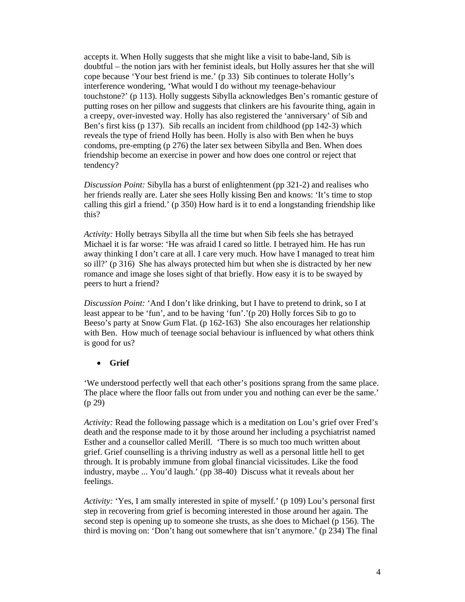accepts it. When Holly suggests that she might like a visit to babe-land, Sib is doubtful – the notion jars with her feminist ideals, but Holly assures her that she will cope because 'Your best friend is me.' (p 33) Sib continues to tolerate Holly's interference wondering, 'What would I do without my teenage-behaviour touchstone?' (p 113). Holly suggests Sibylla acknowledges Ben's romantic gesture of putting roses on her pillow and suggests that clinkers are his favourite thing, again in a creepy, over-invested way. Holly has also registered the 'anniversary' of Sib and Ben's first kiss (p 137). Sib recalls an incident from childhood (pp 142-3) which reveals the type of friend Holly has been. Holly is also with Ben when he buys condoms, pre-empting (p 276) the later sex between Sibylla and Ben. When does friendship become an exercise in power and how does one control or reject that tendency?

*Discussion Point:* Sibylla has a burst of enlightenment (pp 321-2) and realises who her friends really are. Later she sees Holly kissing Ben and knows: 'It's time to stop calling this girl a friend.' (p 350) How hard is it to end a longstanding friendship like this?

*Activity:* Holly betrays Sibylla all the time but when Sib feels she has betrayed Michael it is far worse: 'He was afraid I cared so little. I betrayed him. He has run away thinking I don't care at all. I care very much. How have I managed to treat him so ill?' (p 316) She has always protected him but when she is distracted by her new romance and image she loses sight of that briefly. How easy it is to be swayed by peers to hurt a friend?

*Discussion Point:* 'And I don't like drinking, but I have to pretend to drink, so I at least appear to be 'fun', and to be having 'fun'.'(p 20) Holly forces Sib to go to Beeso's party at Snow Gum Flat. (p 162-163) She also encourages her relationship with Ben. How much of teenage social behaviour is influenced by what others think is good for us?

**Grief** 

'We understood perfectly well that each other's positions sprang from the same place. The place where the floor falls out from under you and nothing can ever be the same.' (p 29)

*Activity:* Read the following passage which is a meditation on Lou's grief over Fred's death and the response made to it by those around her including a psychiatrist named Esther and a counsellor called Merill. 'There is so much too much written about grief. Grief counselling is a thriving industry as well as a personal little hell to get through. It is probably immune from global financial vicissitudes. Like the food industry, maybe ... You'd laugh.' (pp 38-40) Discuss what it reveals about her feelings.

*Activity:* 'Yes, I am smally interested in spite of myself.' (p 109) Lou's personal first step in recovering from grief is becoming interested in those around her again. The second step is opening up to someone she trusts, as she does to Michael (p 156). The third is moving on: 'Don't hang out somewhere that isn't anymore.' (p 234) The final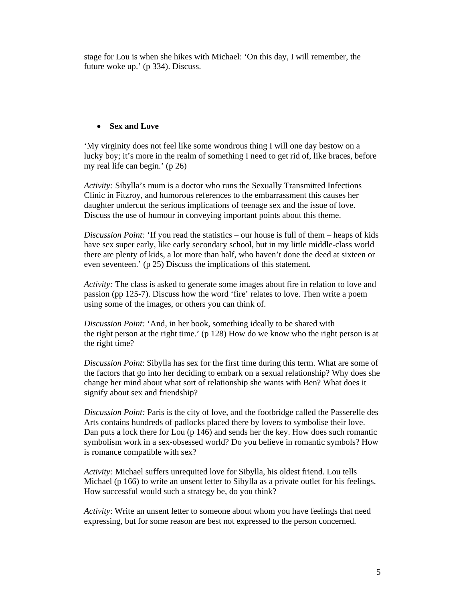stage for Lou is when she hikes with Michael: 'On this day, I will remember, the future woke up.' (p 334). Discuss.

#### **Sex and Love**

'My virginity does not feel like some wondrous thing I will one day bestow on a lucky boy; it's more in the realm of something I need to get rid of, like braces, before my real life can begin.' (p 26)

*Activity:* Sibylla's mum is a doctor who runs the Sexually Transmitted Infections Clinic in Fitzroy, and humorous references to the embarrassment this causes her daughter undercut the serious implications of teenage sex and the issue of love. Discuss the use of humour in conveying important points about this theme.

*Discussion Point:* 'If you read the statistics – our house is full of them – heaps of kids have sex super early, like early secondary school, but in my little middle-class world there are plenty of kids, a lot more than half, who haven't done the deed at sixteen or even seventeen.' (p 25) Discuss the implications of this statement.

*Activity:* The class is asked to generate some images about fire in relation to love and passion (pp 125-7). Discuss how the word 'fire' relates to love. Then write a poem using some of the images, or others you can think of.

*Discussion Point:* 'And, in her book, something ideally to be shared with the right person at the right time.' (p 128) How do we know who the right person is at the right time?

*Discussion Point*: Sibylla has sex for the first time during this term. What are some of the factors that go into her deciding to embark on a sexual relationship? Why does she change her mind about what sort of relationship she wants with Ben? What does it signify about sex and friendship?

*Discussion Point:* Paris is the city of love, and the footbridge called the Passerelle des Arts contains hundreds of padlocks placed there by lovers to symbolise their love. Dan puts a lock there for Lou (p 146) and sends her the key. How does such romantic symbolism work in a sex-obsessed world? Do you believe in romantic symbols? How is romance compatible with sex?

*Activity:* Michael suffers unrequited love for Sibylla, his oldest friend. Lou tells Michael (p 166) to write an unsent letter to Sibylla as a private outlet for his feelings. How successful would such a strategy be, do you think?

*Activity*: Write an unsent letter to someone about whom you have feelings that need expressing, but for some reason are best not expressed to the person concerned.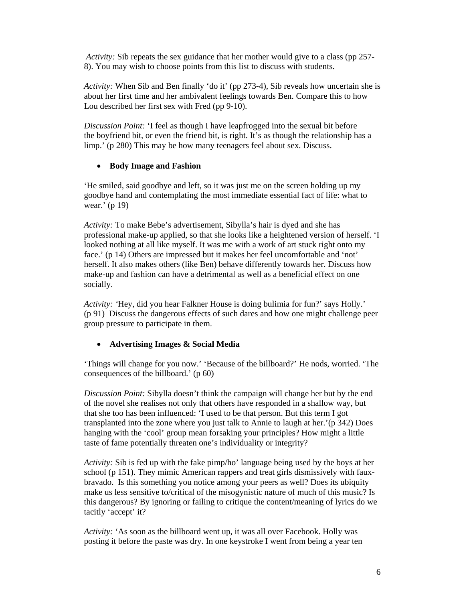*Activity:* Sib repeats the sex guidance that her mother would give to a class (pp 257- 8). You may wish to choose points from this list to discuss with students.

*Activity:* When Sib and Ben finally 'do it' (pp 273-4), Sib reveals how uncertain she is about her first time and her ambivalent feelings towards Ben. Compare this to how Lou described her first sex with Fred (pp 9-10).

*Discussion Point:* 'I feel as though I have leapfrogged into the sexual bit before the boyfriend bit, or even the friend bit, is right. It's as though the relationship has a limp.' (p 280) This may be how many teenagers feel about sex. Discuss.

#### **Body Image and Fashion**

'He smiled, said goodbye and left, so it was just me on the screen holding up my goodbye hand and contemplating the most immediate essential fact of life: what to wear.' (p 19)

*Activity:* To make Bebe's advertisement, Sibylla's hair is dyed and she has professional make-up applied, so that she looks like a heightened version of herself. 'I looked nothing at all like myself. It was me with a work of art stuck right onto my face.' (p 14) Others are impressed but it makes her feel uncomfortable and 'not' herself. It also makes others (like Ben) behave differently towards her. Discuss how make-up and fashion can have a detrimental as well as a beneficial effect on one socially.

*Activity: '*Hey, did you hear Falkner House is doing bulimia for fun?' says Holly.' (p 91) Discuss the dangerous effects of such dares and how one might challenge peer group pressure to participate in them.

#### **Advertising Images & Social Media**

'Things will change for you now.' 'Because of the billboard?' He nods, worried. 'The consequences of the billboard.' (p 60)

*Discussion Point:* Sibylla doesn't think the campaign will change her but by the end of the novel she realises not only that others have responded in a shallow way, but that she too has been influenced: 'I used to be that person. But this term I got transplanted into the zone where you just talk to Annie to laugh at her.'(p 342) Does hanging with the 'cool' group mean forsaking your principles? How might a little taste of fame potentially threaten one's individuality or integrity?

*Activity:* Sib is fed up with the fake pimp/ho' language being used by the boys at her school (p 151). They mimic American rappers and treat girls dismissively with fauxbravado. Is this something you notice among your peers as well? Does its ubiquity make us less sensitive to/critical of the misogynistic nature of much of this music? Is this dangerous? By ignoring or failing to critique the content/meaning of lyrics do we tacitly 'accept' it?

*Activity:* 'As soon as the billboard went up, it was all over Facebook. Holly was posting it before the paste was dry. In one keystroke I went from being a year ten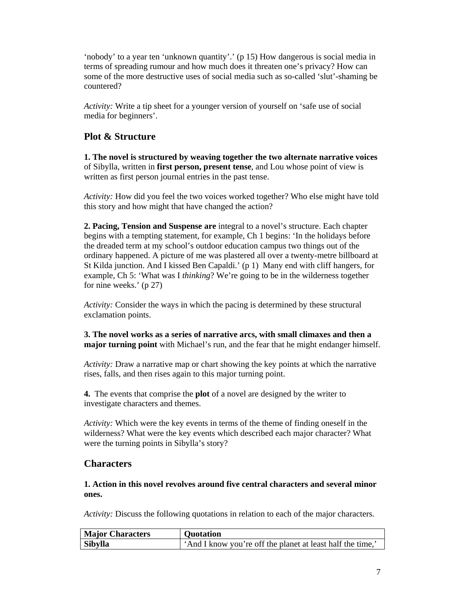'nobody' to a year ten 'unknown quantity'.' (p 15) How dangerous is social media in terms of spreading rumour and how much does it threaten one's privacy? How can some of the more destructive uses of social media such as so-called 'slut'-shaming be countered?

*Activity:* Write a tip sheet for a younger version of yourself on 'safe use of social media for beginners'.

### **Plot & Structure**

**1. The novel is structured by weaving together the two alternate narrative voices** of Sibylla, written in **first person, present tense**, and Lou whose point of view is written as first person journal entries in the past tense.

*Activity:* How did you feel the two voices worked together? Who else might have told this story and how might that have changed the action?

**2. Pacing, Tension and Suspense are** integral to a novel's structure. Each chapter begins with a tempting statement, for example, Ch 1 begins: 'In the holidays before the dreaded term at my school's outdoor education campus two things out of the ordinary happened. A picture of me was plastered all over a twenty-metre billboard at St Kilda junction. And I kissed Ben Capaldi.' (p 1) Many end with cliff hangers, for example, Ch 5: 'What was I *thinking*? We're going to be in the wilderness together for nine weeks.' (p 27)

*Activity:* Consider the ways in which the pacing is determined by these structural exclamation points.

**3. The novel works as a series of narrative arcs, with small climaxes and then a major turning point** with Michael's run, and the fear that he might endanger himself.

*Activity:* Draw a narrative map or chart showing the key points at which the narrative rises, falls, and then rises again to this major turning point.

**4.** The events that comprise the **plot** of a novel are designed by the writer to investigate characters and themes.

*Activity:* Which were the key events in terms of the theme of finding oneself in the wilderness? What were the key events which described each major character? What were the turning points in Sibylla's story?

### **Characters**

**1. Action in this novel revolves around five central characters and several minor ones.** 

*Activity:* Discuss the following quotations in relation to each of the major characters.

| <b>Major Characters</b> | <b>Quotation</b>                                           |
|-------------------------|------------------------------------------------------------|
| <b>Sibylla</b>          | 'And I know you're off the planet at least half the time,' |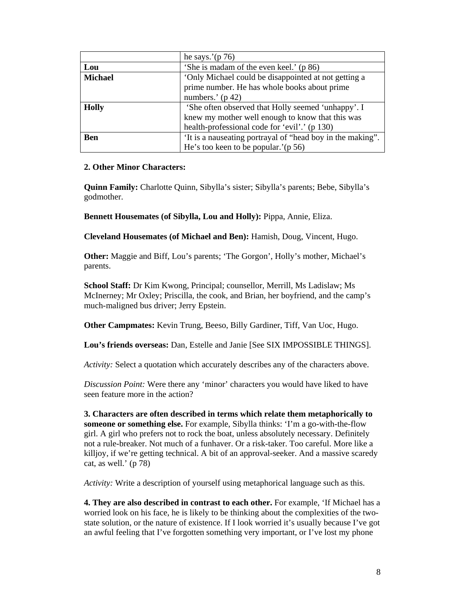|                | he says.'( $p 76$ )                                        |
|----------------|------------------------------------------------------------|
| Lou            | 'She is madam of the even keel.' (p 86)                    |
| <b>Michael</b> | 'Only Michael could be disappointed at not getting a       |
|                | prime number. He has whole books about prime               |
|                | numbers.' $(p 42)$                                         |
| <b>Holly</b>   | 'She often observed that Holly seemed 'unhappy'. I         |
|                | knew my mother well enough to know that this was           |
|                | health-professional code for 'evil'.' (p 130)              |
| <b>Ben</b>     | 'It is a nauseating portrayal of "head boy in the making". |
|                | He's too keen to be popular.'( $p 56$ )                    |

#### **2. Other Minor Characters:**

**Quinn Family:** Charlotte Quinn, Sibylla's sister; Sibylla's parents; Bebe, Sibylla's godmother.

**Bennett Housemates (of Sibylla, Lou and Holly):** Pippa, Annie, Eliza.

**Cleveland Housemates (of Michael and Ben):** Hamish, Doug, Vincent, Hugo.

**Other:** Maggie and Biff, Lou's parents; 'The Gorgon', Holly's mother, Michael's parents.

**School Staff:** Dr Kim Kwong, Principal; counsellor, Merrill, Ms Ladislaw; Ms McInerney; Mr Oxley; Priscilla, the cook, and Brian, her boyfriend, and the camp's much-maligned bus driver; Jerry Epstein.

**Other Campmates:** Kevin Trung, Beeso, Billy Gardiner, Tiff, Van Uoc, Hugo.

**Lou's friends overseas:** Dan, Estelle and Janie [See SIX IMPOSSIBLE THINGS].

*Activity:* Select a quotation which accurately describes any of the characters above.

*Discussion Point:* Were there any 'minor' characters you would have liked to have seen feature more in the action?

**3. Characters are often described in terms which relate them metaphorically to someone or something else.** For example, Sibylla thinks: 'I'm a go-with-the-flow girl. A girl who prefers not to rock the boat, unless absolutely necessary. Definitely not a rule-breaker. Not much of a funhaver. Or a risk-taker. Too careful. More like a killjoy, if we're getting technical. A bit of an approval-seeker. And a massive scaredy cat, as well.' (p 78)

*Activity:* Write a description of yourself using metaphorical language such as this.

**4. They are also described in contrast to each other.** For example, 'If Michael has a worried look on his face, he is likely to be thinking about the complexities of the twostate solution, or the nature of existence. If I look worried it's usually because I've got an awful feeling that I've forgotten something very important, or I've lost my phone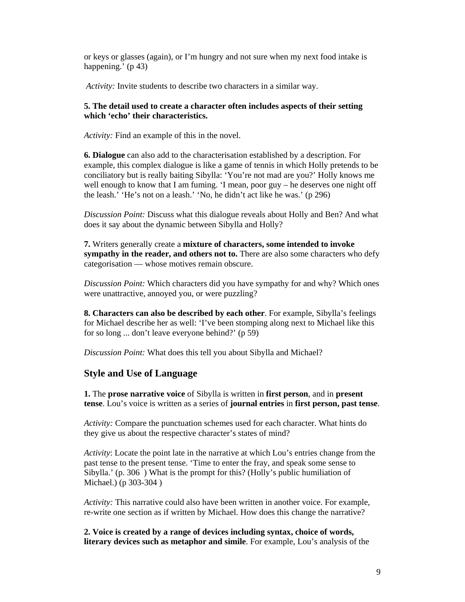or keys or glasses (again), or I'm hungry and not sure when my next food intake is happening.' (p 43)

*Activity:* Invite students to describe two characters in a similar way.

#### **5. The detail used to create a character often includes aspects of their setting which 'echo' their characteristics.**

*Activity:* Find an example of this in the novel.

**6. Dialogue** can also add to the characterisation established by a description. For example, this complex dialogue is like a game of tennis in which Holly pretends to be conciliatory but is really baiting Sibylla: 'You're not mad are you?' Holly knows me well enough to know that I am fuming.  $\dot{\mathbf{I}}$  mean, poor guy – he deserves one night off the leash.' 'He's not on a leash.' 'No, he didn't act like he was.' (p 296)

*Discussion Point:* Discuss what this dialogue reveals about Holly and Ben? And what does it say about the dynamic between Sibylla and Holly?

**7.** Writers generally create a **mixture of characters, some intended to invoke sympathy in the reader, and others not to.** There are also some characters who defy categorisation — whose motives remain obscure.

*Discussion Point:* Which characters did you have sympathy for and why? Which ones were unattractive, annoyed you, or were puzzling?

**8. Characters can also be described by each other**. For example, Sibylla's feelings for Michael describe her as well: 'I've been stomping along next to Michael like this for so long ... don't leave everyone behind?' (p 59)

*Discussion Point:* What does this tell you about Sibylla and Michael?

#### **Style and Use of Language**

**1.** The **prose narrative voice** of Sibylla is written in **first person**, and in **present tense**. Lou's voice is written as a series of **journal entries** in **first person, past tense**.

*Activity:* Compare the punctuation schemes used for each character. What hints do they give us about the respective character's states of mind?

*Activity*: Locate the point late in the narrative at which Lou's entries change from the past tense to the present tense. 'Time to enter the fray, and speak some sense to Sibylla.' (p. 306 ) What is the prompt for this? (Holly's public humiliation of Michael.) (p 303-304 )

*Activity:* This narrative could also have been written in another voice. For example, re-write one section as if written by Michael. How does this change the narrative?

**2. Voice is created by a range of devices including syntax, choice of words, literary devices such as metaphor and simile**. For example, Lou's analysis of the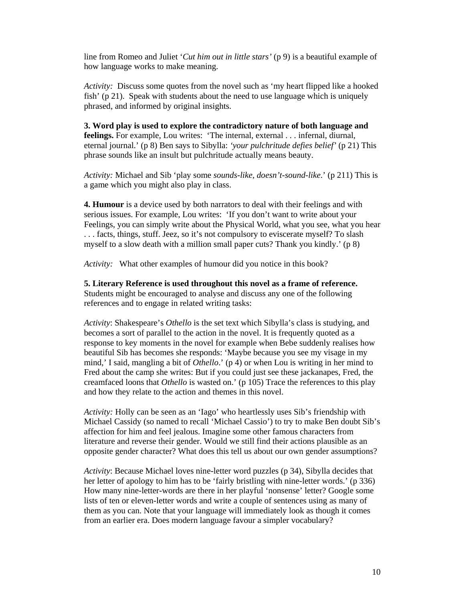line from Romeo and Juliet '*Cut him out in little stars'* (p 9) is a beautiful example of how language works to make meaning.

*Activity:* Discuss some quotes from the novel such as 'my heart flipped like a hooked fish' (p 21). Speak with students about the need to use language which is uniquely phrased, and informed by original insights.

**3. Word play is used to explore the contradictory nature of both language and feelings.** For example, Lou writes: 'The internal, external . . . infernal, diurnal, eternal journal.' (p 8) Ben says to Sibylla: *'your pulchritude defies belief'* (p 21) This phrase sounds like an insult but pulchritude actually means beauty.

*Activity:* Michael and Sib 'play some *sounds-like, doesn't-sound-like*.' (p 211) This is a game which you might also play in class.

**4. Humour** is a device used by both narrators to deal with their feelings and with serious issues. For example, Lou writes: 'If you don't want to write about your Feelings, you can simply write about the Physical World, what you see, what you hear . . . facts, things, stuff. Jeez, so it's not compulsory to eviscerate myself? To slash myself to a slow death with a million small paper cuts? Thank you kindly.' (p 8)

*Activity:* What other examples of humour did you notice in this book?

**5. Literary Reference is used throughout this novel as a frame of reference.**  Students might be encouraged to analyse and discuss any one of the following references and to engage in related writing tasks:

*Activity*: Shakespeare's *Othello* is the set text which Sibylla's class is studying, and becomes a sort of parallel to the action in the novel. It is frequently quoted as a response to key moments in the novel for example when Bebe suddenly realises how beautiful Sib has becomes she responds: 'Maybe because you see my visage in my mind,' I said, mangling a bit of *Othello*.' (p 4) or when Lou is writing in her mind to Fred about the camp she writes: But if you could just see these jackanapes, Fred, the creamfaced loons that *Othello* is wasted on.' (p 105) Trace the references to this play and how they relate to the action and themes in this novel.

*Activity:* Holly can be seen as an 'Iago' who heartlessly uses Sib's friendship with Michael Cassidy (so named to recall 'Michael Cassio') to try to make Ben doubt Sib's affection for him and feel jealous. Imagine some other famous characters from literature and reverse their gender. Would we still find their actions plausible as an opposite gender character? What does this tell us about our own gender assumptions?

*Activity*: Because Michael loves nine-letter word puzzles (p 34), Sibylla decides that her letter of apology to him has to be 'fairly bristling with nine-letter words.' (p 336) How many nine-letter-words are there in her playful 'nonsense' letter? Google some lists of ten or eleven-letter words and write a couple of sentences using as many of them as you can. Note that your language will immediately look as though it comes from an earlier era. Does modern language favour a simpler vocabulary?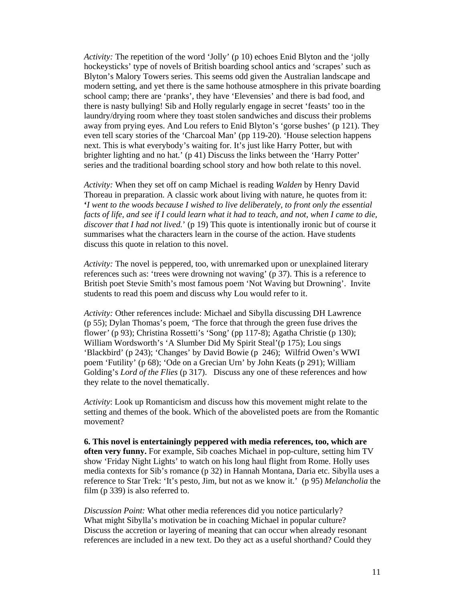*Activity:* The repetition of the word 'Jolly' (p 10) echoes Enid Blyton and the 'jolly hockeysticks' type of novels of British boarding school antics and 'scrapes' such as Blyton's Malory Towers series. This seems odd given the Australian landscape and modern setting, and yet there is the same hothouse atmosphere in this private boarding school camp; there are 'pranks', they have 'Elevensies' and there is bad food, and there is nasty bullying! Sib and Holly regularly engage in secret 'feasts' too in the laundry/drying room where they toast stolen sandwiches and discuss their problems away from prying eyes. And Lou refers to Enid Blyton's 'gorse bushes' (p 121). They even tell scary stories of the 'Charcoal Man' (pp 119-20). 'House selection happens next. This is what everybody's waiting for. It's just like Harry Potter, but with brighter lighting and no hat.' (p 41) Discuss the links between the 'Harry Potter' series and the traditional boarding school story and how both relate to this novel.

*Activity:* When they set off on camp Michael is reading *Walden* by Henry David Thoreau in preparation. A classic work about living with nature, he quotes from it: **'***I went to the woods because I wished to live deliberately, to front only the essential facts of life, and see if I could learn what it had to teach, and not, when I came to die, discover that I had not lived.*' (p 19) This quote is intentionally ironic but of course it summarises what the characters learn in the course of the action. Have students discuss this quote in relation to this novel.

*Activity:* The novel is peppered, too, with unremarked upon or unexplained literary references such as: 'trees were drowning not waving' (p 37). This is a reference to British poet Stevie Smith's most famous poem 'Not Waving but Drowning'. Invite students to read this poem and discuss why Lou would refer to it.

*Activity:* Other references include: Michael and Sibylla discussing DH Lawrence (p 55); Dylan Thomas's poem, 'The force that through the green fuse drives the flower' (p 93); Christina Rossetti's 'Song' (pp 117-8); Agatha Christie (p 130); William Wordsworth's 'A Slumber Did My Spirit Steal'(p 175); Lou sings 'Blackbird' (p 243); 'Changes' by David Bowie (p 246); Wilfrid Owen's WWI poem 'Futility' (p 68); 'Ode on a Grecian Urn' by John Keats (p 291); William Golding's *Lord of the Flies* (p 317). Discuss any one of these references and how they relate to the novel thematically.

*Activity*: Look up Romanticism and discuss how this movement might relate to the setting and themes of the book. Which of the abovelisted poets are from the Romantic movement?

**6. This novel is entertainingly peppered with media references, too, which are often very funny.** For example, Sib coaches Michael in pop-culture, setting him TV show 'Friday Night Lights' to watch on his long haul flight from Rome. Holly uses media contexts for Sib's romance (p 32) in Hannah Montana, Daria etc. Sibylla uses a reference to Star Trek: 'It's pesto, Jim, but not as we know it.' (p 95) *Melancholia* the film (p 339) is also referred to.

*Discussion Point:* What other media references did you notice particularly? What might Sibylla's motivation be in coaching Michael in popular culture? Discuss the accretion or layering of meaning that can occur when already resonant references are included in a new text. Do they act as a useful shorthand? Could they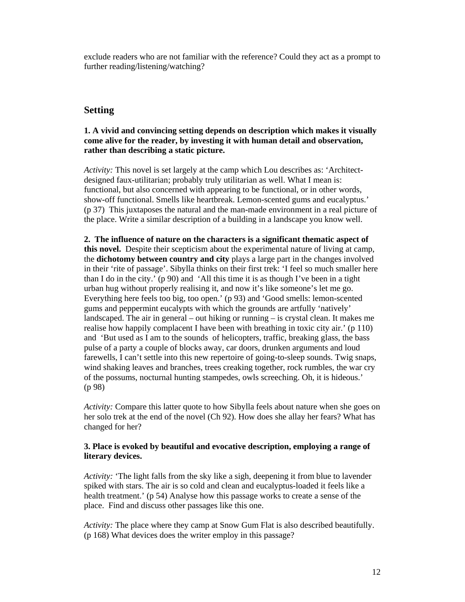exclude readers who are not familiar with the reference? Could they act as a prompt to further reading/listening/watching?

### **Setting**

#### **1. A vivid and convincing setting depends on description which makes it visually come alive for the reader, by investing it with human detail and observation, rather than describing a static picture.**

*Activity:* This novel is set largely at the camp which Lou describes as: 'Architectdesigned faux-utilitarian; probably truly utilitarian as well. What I mean is: functional, but also concerned with appearing to be functional, or in other words, show-off functional. Smells like heartbreak. Lemon-scented gums and eucalyptus.' (p 37) This juxtaposes the natural and the man-made environment in a real picture of the place. Write a similar description of a building in a landscape you know well.

**2. The influence of nature on the characters is a significant thematic aspect of this novel.** Despite their scepticism about the experimental nature of living at camp, the **dichotomy between country and city** plays a large part in the changes involved in their 'rite of passage'. Sibylla thinks on their first trek: 'I feel so much smaller here than I do in the city.' (p 90) and 'All this time it is as though I've been in a tight urban hug without properly realising it, and now it's like someone's let me go. Everything here feels too big, too open.' (p 93) and 'Good smells: lemon-scented gums and peppermint eucalypts with which the grounds are artfully 'natively' landscaped. The air in general – out hiking or running – is crystal clean. It makes me realise how happily complacent I have been with breathing in toxic city air.' (p 110) and 'But used as I am to the sounds of helicopters, traffic, breaking glass, the bass pulse of a party a couple of blocks away, car doors, drunken arguments and loud farewells, I can't settle into this new repertoire of going-to-sleep sounds. Twig snaps, wind shaking leaves and branches, trees creaking together, rock rumbles, the war cry of the possums, nocturnal hunting stampedes, owls screeching. Oh, it is hideous.' (p 98)

*Activity:* Compare this latter quote to how Sibylla feels about nature when she goes on her solo trek at the end of the novel (Ch 92). How does she allay her fears? What has changed for her?

#### **3. Place is evoked by beautiful and evocative description, employing a range of literary devices.**

*Activity:* 'The light falls from the sky like a sigh, deepening it from blue to lavender spiked with stars. The air is so cold and clean and eucalyptus-loaded it feels like a health treatment.' (p 54) Analyse how this passage works to create a sense of the place. Find and discuss other passages like this one.

*Activity:* The place where they camp at Snow Gum Flat is also described beautifully. (p 168) What devices does the writer employ in this passage?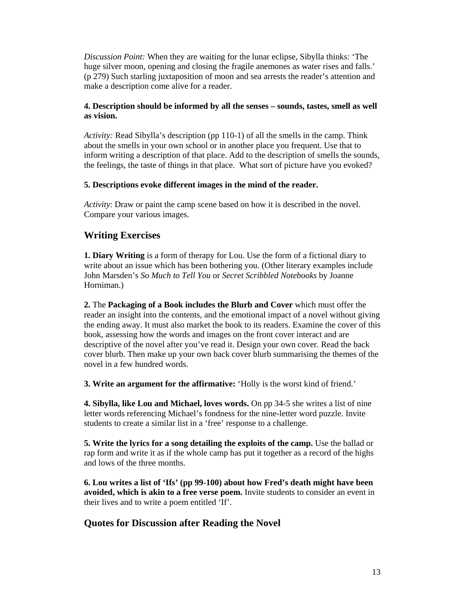*Discussion Point:* When they are waiting for the lunar eclipse, Sibylla thinks: 'The huge silver moon, opening and closing the fragile anemones as water rises and falls.' (p 279) Such starling juxtaposition of moon and sea arrests the reader's attention and make a description come alive for a reader.

#### **4. Description should be informed by all the senses – sounds, tastes, smell as well as vision.**

*Activity:* Read Sibylla's description (pp 110-1) of all the smells in the camp. Think about the smells in your own school or in another place you frequent. Use that to inform writing a description of that place. Add to the description of smells the sounds, the feelings, the taste of things in that place. What sort of picture have you evoked?

#### **5. Descriptions evoke different images in the mind of the reader.**

*Activity*: Draw or paint the camp scene based on how it is described in the novel. Compare your various images.

### **Writing Exercises**

**1. Diary Writing** is a form of therapy for Lou. Use the form of a fictional diary to write about an issue which has been bothering you. (Other literary examples include John Marsden's *So Much to Tell You* or *Secret Scribbled Notebooks* by Joanne Horniman.)

**2.** The **Packaging of a Book includes the Blurb and Cover** which must offer the reader an insight into the contents, and the emotional impact of a novel without giving the ending away. It must also market the book to its readers. Examine the cover of this book, assessing how the words and images on the front cover interact and are descriptive of the novel after you've read it. Design your own cover. Read the back cover blurb. Then make up your own back cover blurb summarising the themes of the novel in a few hundred words.

**3. Write an argument for the affirmative:** 'Holly is the worst kind of friend.'

**4. Sibylla, like Lou and Michael, loves words.** On pp 34-5 she writes a list of nine letter words referencing Michael's fondness for the nine-letter word puzzle. Invite students to create a similar list in a 'free' response to a challenge.

**5. Write the lyrics for a song detailing the exploits of the camp.** Use the ballad or rap form and write it as if the whole camp has put it together as a record of the highs and lows of the three months.

**6. Lou writes a list of 'Ifs' (pp 99-100) about how Fred's death might have been avoided, which is akin to a free verse poem.** Invite students to consider an event in their lives and to write a poem entitled 'If'.

### **Quotes for Discussion after Reading the Novel**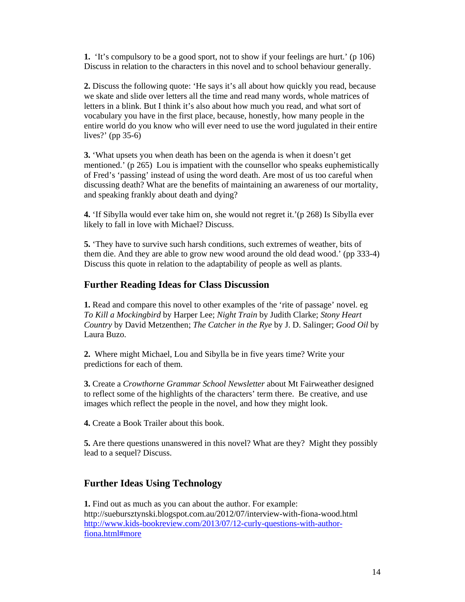**1.** 'It's compulsory to be a good sport, not to show if your feelings are hurt.' (p 106) Discuss in relation to the characters in this novel and to school behaviour generally.

**2.** Discuss the following quote: 'He says it's all about how quickly you read, because we skate and slide over letters all the time and read many words, whole matrices of letters in a blink. But I think it's also about how much you read, and what sort of vocabulary you have in the first place, because, honestly, how many people in the entire world do you know who will ever need to use the word jugulated in their entire lives?' (pp 35-6)

**3.** 'What upsets you when death has been on the agenda is when it doesn't get mentioned.' (p 265) Lou is impatient with the counsellor who speaks euphemistically of Fred's 'passing' instead of using the word death. Are most of us too careful when discussing death? What are the benefits of maintaining an awareness of our mortality, and speaking frankly about death and dying?

**4.** 'If Sibylla would ever take him on, she would not regret it.'(p 268) Is Sibylla ever likely to fall in love with Michael? Discuss.

**5.** 'They have to survive such harsh conditions, such extremes of weather, bits of them die. And they are able to grow new wood around the old dead wood.' (pp 333-4) Discuss this quote in relation to the adaptability of people as well as plants.

### **Further Reading Ideas for Class Discussion**

**1.** Read and compare this novel to other examples of the 'rite of passage' novel. eg *To Kill a Mockingbird* by Harper Lee; *Night Train* by Judith Clarke; *Stony Heart Country* by David Metzenthen; *The Catcher in the Rye* by J. D. Salinger; *Good Oil* by Laura Buzo.

**2.** Where might Michael, Lou and Sibylla be in five years time? Write your predictions for each of them.

**3.** Create a *Crowthorne Grammar School Newsletter* about Mt Fairweather designed to reflect some of the highlights of the characters' term there. Be creative, and use images which reflect the people in the novel, and how they might look.

**4.** Create a Book Trailer about this book.

**5.** Are there questions unanswered in this novel? What are they? Might they possibly lead to a sequel? Discuss.

### **Further Ideas Using Technology**

**1.** Find out as much as you can about the author. For example: http://suebursztynski.blogspot.com.au/2012/07/interview-with-fiona-wood.html http://www.kids-bookreview.com/2013/07/12-curly-questions-with-authorfiona.html#more